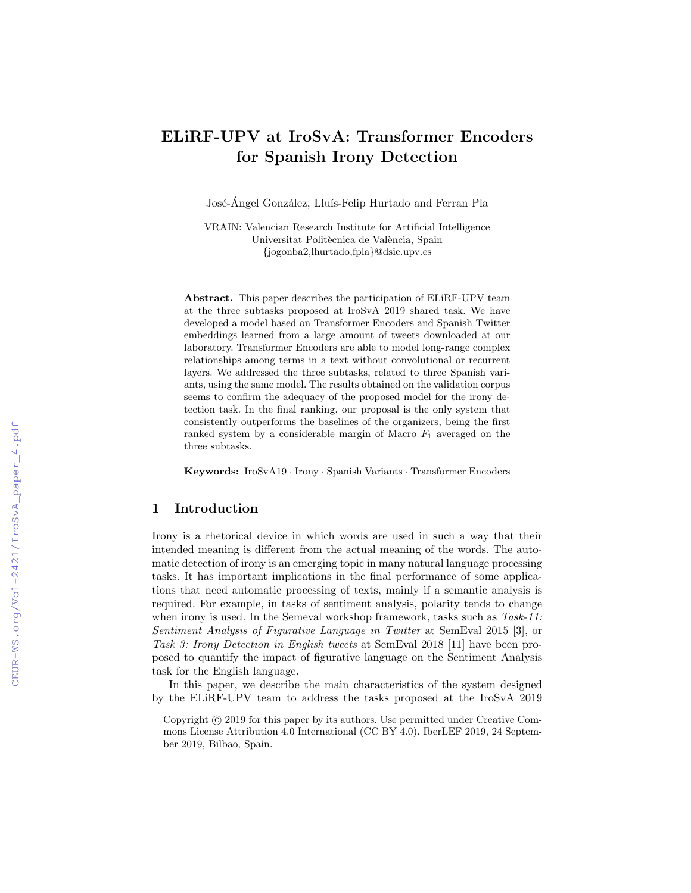# ELiRF-UPV at IroSvA: Transformer Encoders for Spanish Irony Detection

José-Ángel González, Lluís-Felip Hurtado and Ferran Pla

VRAIN: Valencian Research Institute for Artificial Intelligence Universitat Politècnica de València, Spain {jogonba2,lhurtado,fpla}@dsic.upv.es

Abstract. This paper describes the participation of ELiRF-UPV team at the three subtasks proposed at IroSvA 2019 shared task. We have developed a model based on Transformer Encoders and Spanish Twitter embeddings learned from a large amount of tweets downloaded at our laboratory. Transformer Encoders are able to model long-range complex relationships among terms in a text without convolutional or recurrent layers. We addressed the three subtasks, related to three Spanish variants, using the same model. The results obtained on the validation corpus seems to confirm the adequacy of the proposed model for the irony detection task. In the final ranking, our proposal is the only system that consistently outperforms the baselines of the organizers, being the first ranked system by a considerable margin of Macro  $F_1$  averaged on the three subtasks.

Keywords: IroSvA19 · Irony · Spanish Variants · Transformer Encoders

## 1 Introduction

Irony is a rhetorical device in which words are used in such a way that their intended meaning is different from the actual meaning of the words. The automatic detection of irony is an emerging topic in many natural language processing tasks. It has important implications in the final performance of some applications that need automatic processing of texts, mainly if a semantic analysis is required. For example, in tasks of sentiment analysis, polarity tends to change when irony is used. In the Semeval workshop framework, tasks such as Task-11: Sentiment Analysis of Figurative Language in Twitter at SemEval 2015 [3], or Task 3: Irony Detection in English tweets at SemEval 2018 [11] have been proposed to quantify the impact of figurative language on the Sentiment Analysis task for the English language.

In this paper, we describe the main characteristics of the system designed by the ELiRF-UPV team to address the tasks proposed at the IroSvA 2019

Copyright  $\odot$  2019 for this paper by its authors. Use permitted under Creative Commons License Attribution 4.0 International (CC BY 4.0). IberLEF 2019, 24 September 2019, Bilbao, Spain.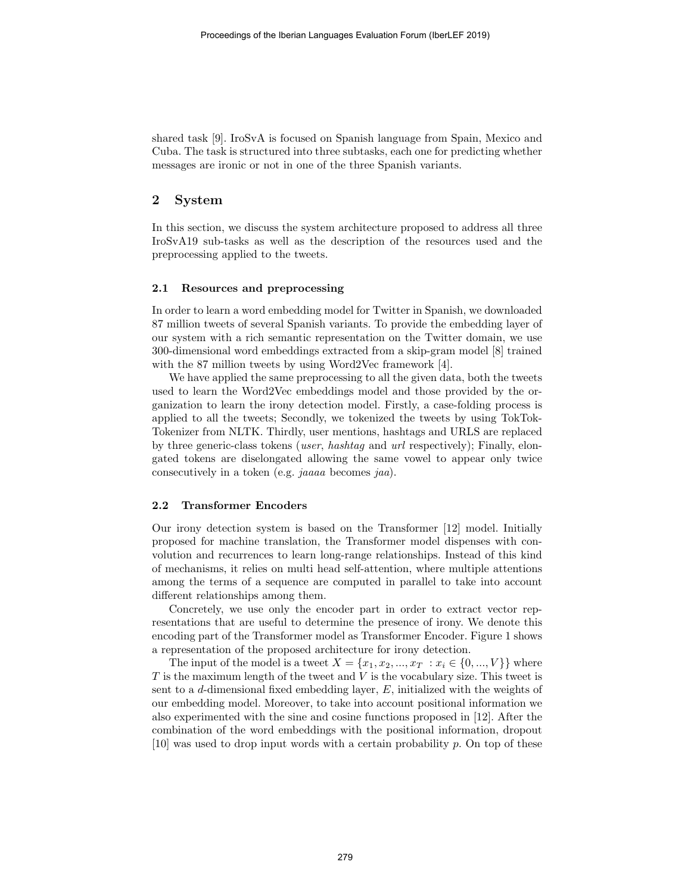shared task [9]. IroSvA is focused on Spanish language from Spain, Mexico and Cuba. The task is structured into three subtasks, each one for predicting whether messages are ironic or not in one of the three Spanish variants.

# 2 System

In this section, we discuss the system architecture proposed to address all three IroSvA19 sub-tasks as well as the description of the resources used and the preprocessing applied to the tweets.

#### 2.1 Resources and preprocessing

In order to learn a word embedding model for Twitter in Spanish, we downloaded 87 million tweets of several Spanish variants. To provide the embedding layer of our system with a rich semantic representation on the Twitter domain, we use 300-dimensional word embeddings extracted from a skip-gram model [8] trained with the 87 million tweets by using Word2Vec framework [4].

We have applied the same preprocessing to all the given data, both the tweets used to learn the Word2Vec embeddings model and those provided by the organization to learn the irony detection model. Firstly, a case-folding process is applied to all the tweets; Secondly, we tokenized the tweets by using TokTok-Tokenizer from NLTK. Thirdly, user mentions, hashtags and URLS are replaced by three generic-class tokens (user, hashtag and url respectively); Finally, elongated tokens are diselongated allowing the same vowel to appear only twice consecutively in a token (e.g. jaaaa becomes jaa).

#### 2.2 Transformer Encoders

Our irony detection system is based on the Transformer [12] model. Initially proposed for machine translation, the Transformer model dispenses with convolution and recurrences to learn long-range relationships. Instead of this kind of mechanisms, it relies on multi head self-attention, where multiple attentions among the terms of a sequence are computed in parallel to take into account different relationships among them.

Concretely, we use only the encoder part in order to extract vector representations that are useful to determine the presence of irony. We denote this encoding part of the Transformer model as Transformer Encoder. Figure 1 shows a representation of the proposed architecture for irony detection.

The input of the model is a tweet  $X = \{x_1, x_2, ..., x_T : x_i \in \{0, ..., V\}\}\$  where  $T$  is the maximum length of the tweet and  $V$  is the vocabulary size. This tweet is sent to a d-dimensional fixed embedding layer,  $E$ , initialized with the weights of our embedding model. Moreover, to take into account positional information we also experimented with the sine and cosine functions proposed in [12]. After the combination of the word embeddings with the positional information, dropout  $[10]$  was used to drop input words with a certain probability p. On top of these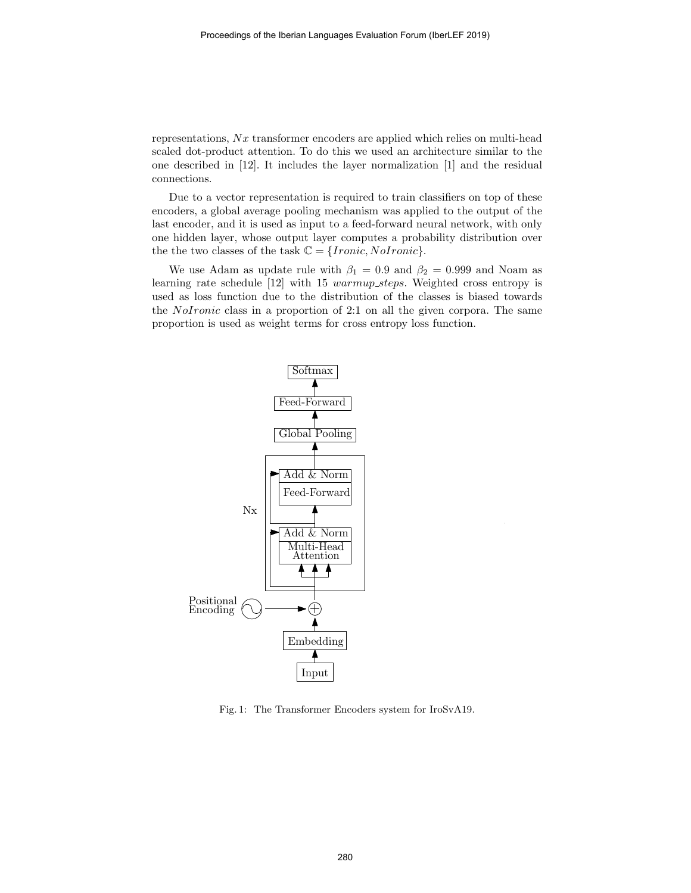representations,  $Nx$  transformer encoders are applied which relies on multi-head scaled dot-product attention. To do this we used an architecture similar to the one described in [12]. It includes the layer normalization [1] and the residual connections.

Due to a vector representation is required to train classifiers on top of these encoders, a global average pooling mechanism was applied to the output of the last encoder, and it is used as input to a feed-forward neural network, with only one hidden layer, whose output layer computes a probability distribution over the the two classes of the task  $\mathbb{C} = \{Ironic, NoIronic\}.$ 

We use Adam as update rule with  $\beta_1 = 0.9$  and  $\beta_2 = 0.999$  and Noam as learning rate schedule [12] with 15 warmup\_steps. Weighted cross entropy is used as loss function due to the distribution of the classes is biased towards the NoIronic class in a proportion of 2:1 on all the given corpora. The same proportion is used as weight terms for cross entropy loss function.



Fig. 1: The Transformer Encoders system for IroSvA19.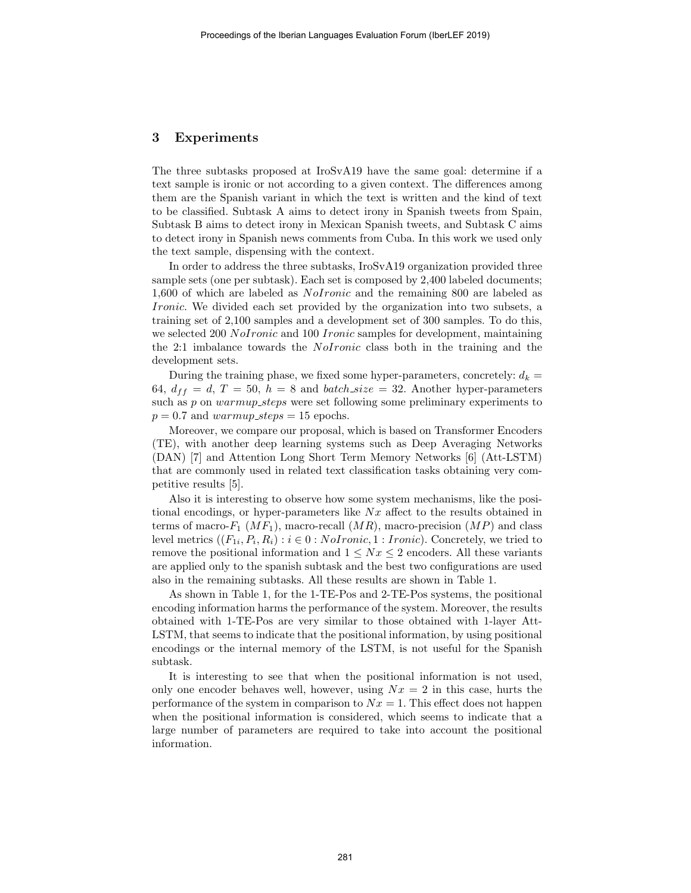## 3 Experiments

The three subtasks proposed at IroSvA19 have the same goal: determine if a text sample is ironic or not according to a given context. The differences among them are the Spanish variant in which the text is written and the kind of text to be classified. Subtask A aims to detect irony in Spanish tweets from Spain, Subtask B aims to detect irony in Mexican Spanish tweets, and Subtask C aims to detect irony in Spanish news comments from Cuba. In this work we used only the text sample, dispensing with the context.

In order to address the three subtasks, IroSvA19 organization provided three sample sets (one per subtask). Each set is composed by 2,400 labeled documents; 1,600 of which are labeled as *NoIronic* and the remaining 800 are labeled as Ironic. We divided each set provided by the organization into two subsets, a training set of 2,100 samples and a development set of 300 samples. To do this, we selected 200 NoIronic and 100 Ironic samples for development, maintaining the 2:1 imbalance towards the NoIronic class both in the training and the development sets.

During the training phase, we fixed some hyper-parameters, concretely:  $d_k =$ 64,  $d_{ff} = d, T = 50, h = 8$  and batch size = 32. Another hyper-parameters such as p on warmup\_steps were set following some preliminary experiments to  $p = 0.7$  and warmup\_steps = 15 epochs.

Moreover, we compare our proposal, which is based on Transformer Encoders (TE), with another deep learning systems such as Deep Averaging Networks (DAN) [7] and Attention Long Short Term Memory Networks [6] (Att-LSTM) that are commonly used in related text classification tasks obtaining very competitive results [5].

Also it is interesting to observe how some system mechanisms, like the positional encodings, or hyper-parameters like  $Nx$  affect to the results obtained in terms of macro- $F_1$  (M $F_1$ ), macro-recall (MR), macro-precision (MP) and class level metrics  $((F_{1i}, P_i, R_i) : i \in 0 : \text{NoIronic}, 1 : \text{Ironic})$ . Concretely, we tried to remove the positional information and  $1 \leq Nx \leq 2$  encoders. All these variants are applied only to the spanish subtask and the best two configurations are used also in the remaining subtasks. All these results are shown in Table 1.

As shown in Table 1, for the 1-TE-Pos and 2-TE-Pos systems, the positional encoding information harms the performance of the system. Moreover, the results obtained with 1-TE-Pos are very similar to those obtained with 1-layer Att-LSTM, that seems to indicate that the positional information, by using positional encodings or the internal memory of the LSTM, is not useful for the Spanish subtask.

It is interesting to see that when the positional information is not used, only one encoder behaves well, however, using  $Nx = 2$  in this case, hurts the performance of the system in comparison to  $Nx = 1$ . This effect does not happen when the positional information is considered, which seems to indicate that a large number of parameters are required to take into account the positional information.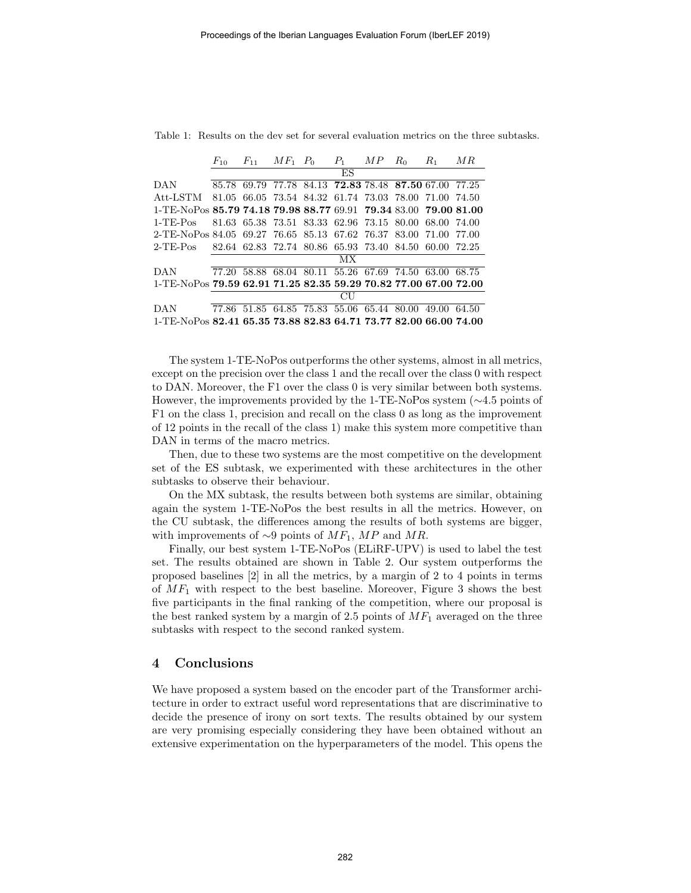|                                                                  | $F_{10}$ | $F_{11}$ $MF_1$ $P_0$ |  | $P_1$ | M P | $R_0$ | $R_1$                                                 | MR |
|------------------------------------------------------------------|----------|-----------------------|--|-------|-----|-------|-------------------------------------------------------|----|
|                                                                  |          |                       |  | ES    |     |       |                                                       |    |
| DAN                                                              | 85.78    | 69.79                 |  |       |     |       | 77.78 84.13 72.83 78.48 87.50 67.00 77.25             |    |
| Att-LSTM                                                         |          |                       |  |       |     |       | 81.05 66.05 73.54 84.32 61.74 73.03 78.00 71.00 74.50 |    |
| 1-TE-NoPos 85.79 74.18 79.98 88.77 69.91 79.34 83.00 79.00 81.00 |          |                       |  |       |     |       |                                                       |    |
| $1-TE-POS$                                                       |          |                       |  |       |     |       | 81.63 65.38 73.51 83.33 62.96 73.15 80.00 68.00 74.00 |    |
| 2-TE-NoPos 84.05 69.27 76.65 85.13 67.62 76.37 83.00 71.00 77.00 |          |                       |  |       |     |       |                                                       |    |
| $2$ -TE-Pos                                                      |          |                       |  |       |     |       | 82.64 62.83 72.74 80.86 65.93 73.40 84.50 60.00 72.25 |    |
|                                                                  |          |                       |  | МX    |     |       |                                                       |    |
| <b>DAN</b>                                                       |          |                       |  |       |     |       | 77.20 58.88 68.04 80.11 55.26 67.69 74.50 63.00 68.75 |    |
| 1-TE-NoPos 79.59 62.91 71.25 82.35 59.29 70.82 77.00 67.00 72.00 |          |                       |  |       |     |       |                                                       |    |
|                                                                  |          |                       |  | CH    |     |       |                                                       |    |
| <b>DAN</b>                                                       |          |                       |  |       |     |       | 77.86 51.85 64.85 75.83 55.06 65.44 80.00 49.00 64.50 |    |
| 1-TE-NoPos 82.41 65.35 73.88 82.83 64.71 73.77 82.00 66.00 74.00 |          |                       |  |       |     |       |                                                       |    |

Table 1: Results on the dev set for several evaluation metrics on the three subtasks.

The system 1-TE-NoPos outperforms the other systems, almost in all metrics, except on the precision over the class 1 and the recall over the class 0 with respect to DAN. Moreover, the F1 over the class 0 is very similar between both systems. However, the improvements provided by the 1-TE-NoPos system (∼4.5 points of F1 on the class 1, precision and recall on the class 0 as long as the improvement of 12 points in the recall of the class 1) make this system more competitive than DAN in terms of the macro metrics.

Then, due to these two systems are the most competitive on the development set of the ES subtask, we experimented with these architectures in the other subtasks to observe their behaviour.

On the MX subtask, the results between both systems are similar, obtaining again the system 1-TE-NoPos the best results in all the metrics. However, on the CU subtask, the differences among the results of both systems are bigger, with improvements of  $\sim 9$  points of  $MF_1$ , MP and MR.

Finally, our best system 1-TE-NoPos (ELiRF-UPV) is used to label the test set. The results obtained are shown in Table 2. Our system outperforms the proposed baselines [2] in all the metrics, by a margin of 2 to 4 points in terms of  $MF_1$  with respect to the best baseline. Moreover, Figure 3 shows the best five participants in the final ranking of the competition, where our proposal is the best ranked system by a margin of 2.5 points of  $MF_1$  averaged on the three subtasks with respect to the second ranked system.

# 4 Conclusions

We have proposed a system based on the encoder part of the Transformer architecture in order to extract useful word representations that are discriminative to decide the presence of irony on sort texts. The results obtained by our system are very promising especially considering they have been obtained without an extensive experimentation on the hyperparameters of the model. This opens the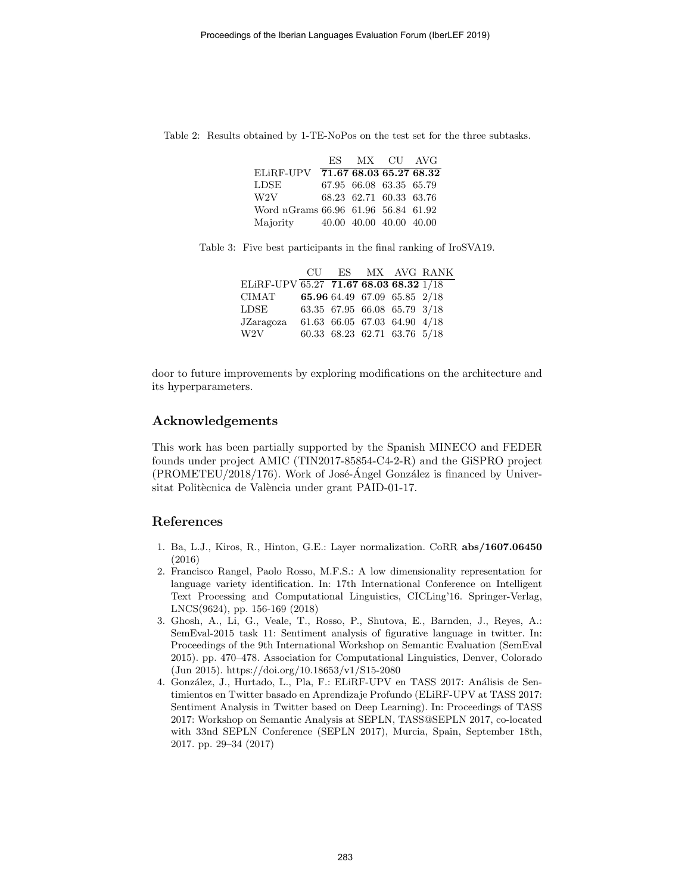Table 2: Results obtained by 1-TE-NoPos on the test set for the three subtasks.

|                                     | ES MX CU AVG            |  |
|-------------------------------------|-------------------------|--|
| ELiRF-UPV 71.67 68.03 65.27 68.32   |                         |  |
| <b>LDSE</b>                         | 67.95 66.08 63.35 65.79 |  |
| W2V                                 | 68.23 62.71 60.33 63.76 |  |
| Word nGrams 66.96 61.96 56.84 61.92 |                         |  |
| Majority                            | 40.00 40.00 40.00 40.00 |  |

Table 3: Five best participants in the final ranking of IroSVA19.

|                                                     |  |                              | CU ES MX AVG RANK |
|-----------------------------------------------------|--|------------------------------|-------------------|
| ELiRF-UPV $\overline{65.27}$ 71.67 68.03 68.32 1/18 |  |                              |                   |
| CIMAT                                               |  | 65.96 64.49 67.09 65.85 2/18 |                   |
| ${\rm LDSE}$                                        |  | 63.35 67.95 66.08 65.79 3/18 |                   |
| JZaragoza                                           |  | 61.63 66.05 67.03 64.90 4/18 |                   |
| W2V                                                 |  | 60.33 68.23 62.71 63.76 5/18 |                   |

door to future improvements by exploring modifications on the architecture and its hyperparameters.

## Acknowledgements

This work has been partially supported by the Spanish MINECO and FEDER founds under project AMIC (TIN2017-85854-C4-2-R) and the GiSPRO project  $(PROMETEU/2018/176)$ . Work of José-Ángel González is financed by Universitat Politècnica de València under grant PAID-01-17.

## References

- 1. Ba, L.J., Kiros, R., Hinton, G.E.: Layer normalization. CoRR abs/1607.06450 (2016)
- 2. Francisco Rangel, Paolo Rosso, M.F.S.: A low dimensionality representation for language variety identification. In: 17th International Conference on Intelligent Text Processing and Computational Linguistics, CICLing'16. Springer-Verlag, LNCS(9624), pp. 156-169 (2018)
- 3. Ghosh, A., Li, G., Veale, T., Rosso, P., Shutova, E., Barnden, J., Reyes, A.: SemEval-2015 task 11: Sentiment analysis of figurative language in twitter. In: Proceedings of the 9th International Workshop on Semantic Evaluation (SemEval 2015). pp. 470–478. Association for Computational Linguistics, Denver, Colorado (Jun 2015). https://doi.org/10.18653/v1/S15-2080
- 4. González, J., Hurtado, L., Pla, F.: ELiRF-UPV en TASS 2017: Análisis de Sentimientos en Twitter basado en Aprendizaje Profundo (ELiRF-UPV at TASS 2017: Sentiment Analysis in Twitter based on Deep Learning). In: Proceedings of TASS 2017: Workshop on Semantic Analysis at SEPLN, TASS@SEPLN 2017, co-located with 33nd SEPLN Conference (SEPLN 2017), Murcia, Spain, September 18th, 2017. pp. 29–34 (2017)